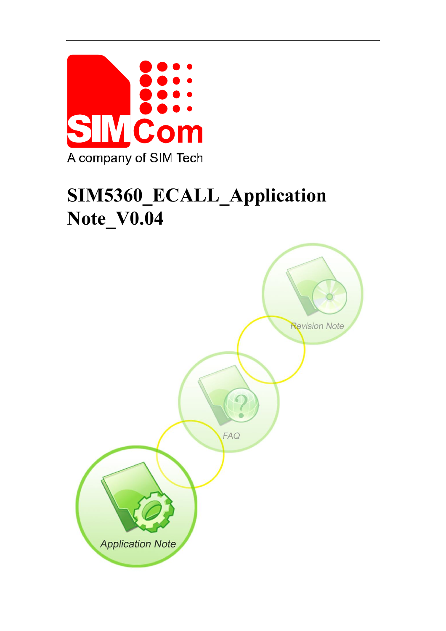

# **SIM5360\_ECALL\_Application Note\_V0.04**

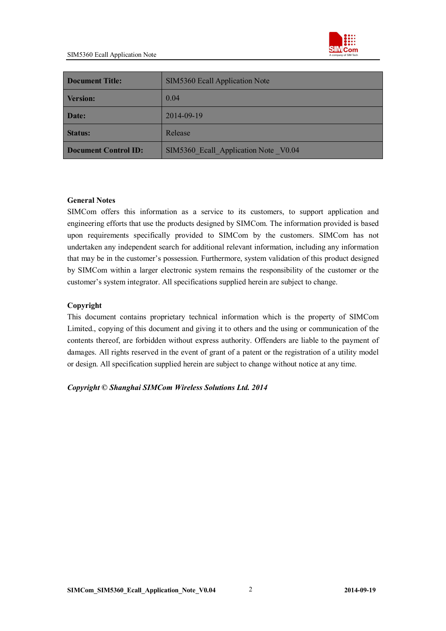

| <b>Document Title:</b>      | SIM5360 Ecall Application Note       |  |
|-----------------------------|--------------------------------------|--|
| <b>Version:</b>             | 0.04                                 |  |
| Date:                       | 2014-09-19                           |  |
| <b>Status:</b>              | Release                              |  |
| <b>Document Control ID:</b> | SIM5360 Ecall Application Note V0.04 |  |

#### **General Notes**

SIMCom offers this information as a service to its customers, to support application and engineering efforts that use the products designed by SIMCom. The information provided is based upon requirements specifically provided to SIMCom by the customers. SIMCom has not undertaken any independent search for additional relevant information, including any information that may be in the customer's possession. Furthermore, system validation of this product designed by SIMCom within a larger electronic system remains the responsibility of the customer or the customer's system integrator. All specifications supplied herein are subject to change.

#### **Copyright**

This document contains proprietary technical information which is the property of SIMCom Limited., copying of this document and giving it to others and the using or communication of the contents thereof, are forbidden without express authority. Offenders are liable to the payment of damages. All rights reserved in the event of grant of a patent or the registration of a utility model or design. All specification supplied herein are subject to change without notice at any time.

*Copyright © Shanghai SIMCom Wireless Solutions Ltd. 2014*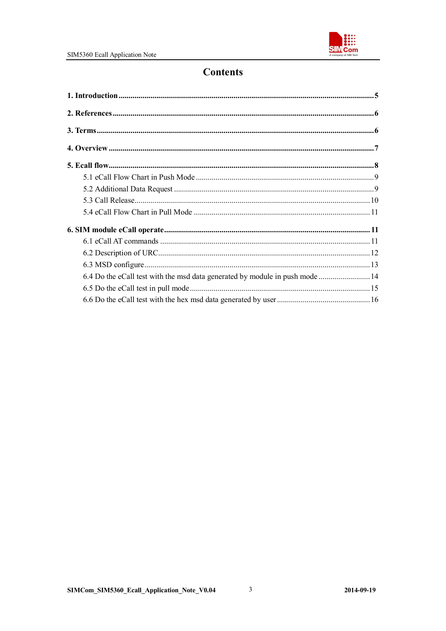

### **Contents**

| 6.4 Do the eCall test with the msd data generated by module in push mode  14 |  |
|------------------------------------------------------------------------------|--|
|                                                                              |  |
|                                                                              |  |

 $\overline{\mathbf{3}}$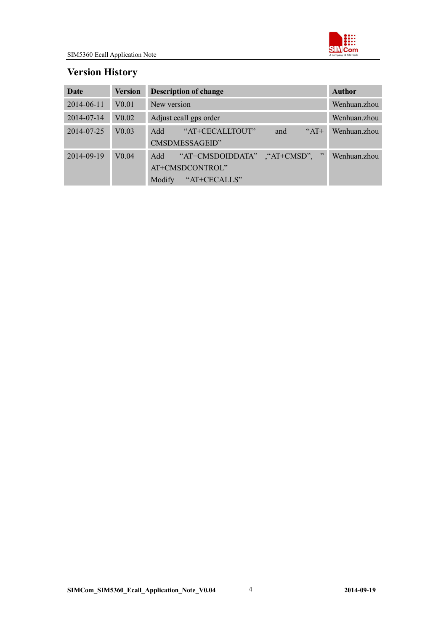

### **Version History**

| Date       | <b>Version</b>    | <b>Description of change</b>                                                               | <b>Author</b> |
|------------|-------------------|--------------------------------------------------------------------------------------------|---------------|
| 2014-06-11 | V <sub>0.01</sub> | New version                                                                                | Wenhuan.zhou  |
| 2014-07-14 | V <sub>0.02</sub> | Adjust ecall gps order                                                                     | Wenhuan.zhou  |
| 2014-07-25 | V <sub>0.03</sub> | "AT+CECALLTOUT"<br>$A$ T+<br>Add<br>and<br>CMSDMESSAGEID"                                  | Wenhuan zhou  |
| 2014-09-19 | $V0$ 04           | "AT+CMSDOIDDATA"<br>$\cdot$ "AT+CMSD",<br>Add<br>AT+CMSDCONTROL"<br>"AT+CECALLS"<br>Modify | Wenhuan zhou  |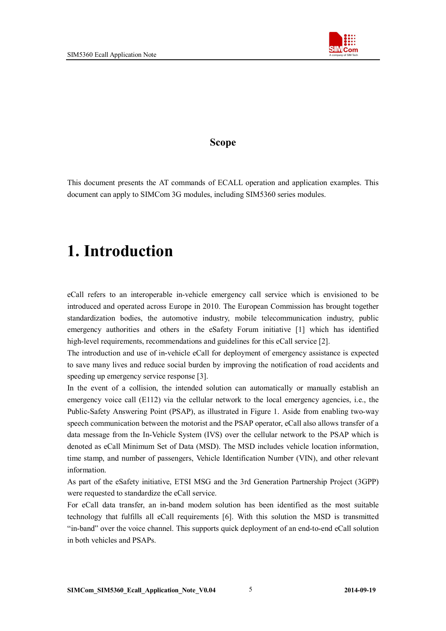

#### **Scope**

This document presents the AT commands of ECALL operation and application examples. This document can apply to SIMCom 3G modules, including SIM5360 series modules.

## **1. Introduction**

eCall refers to an interoperable in-vehicle emergency call service which is envisioned to be introduced and operated across Europe in 2010. The European Commission has brought together standardization bodies, the automotive industry, mobile telecommunication industry, public emergency authorities and others in the eSafety Forum initiative [1] which has identified high-level requirements, recommendations and guidelines for this eCall service [2].

The introduction and use of in-vehicle eCall for deployment of emergency assistance is expected to save many lives and reduce social burden by improving the notification of road accidents and speeding up emergency service response [3].

In the event of a collision, the intended solution can automatically or manually establish an emergency voice call (E112) via the cellular network to the local emergency agencies, i.e., the Public-Safety Answering Point (PSAP), as illustrated in Figure 1. Aside from enabling two-way speech communication between the motorist and the PSAP operator, eCall also allows transfer of a data message from the In-Vehicle System (IVS) over the cellular network to the PSAP which is denoted as eCall Minimum Set of Data (MSD). The MSD includes vehicle location information, time stamp, and number of passengers, Vehicle Identification Number (VIN), and other relevant information.

As part of the eSafety initiative, ETSI MSG and the 3rd Generation Partnership Project (3GPP) were requested to standardize the eCall service.

For eCall data transfer, an in-band modem solution has been identified as the most suitable technology that fulfills all eCall requirements [6]. With this solution the MSD is transmitted "in-band" over the voice channel. This supports quick deployment of an end-to-end eCall solution in both vehicles and PSAPs.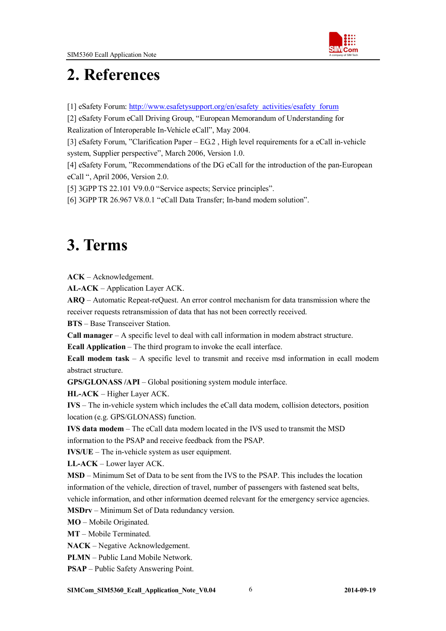

## **2. References**

[1] eSafety Forum: http://www.esafetysupport.org/en/esafety\_activities/esafety\_forum

[2] eSafety Forum eCall Driving Group, "European Memorandum of Understanding for Realization of Interoperable In-Vehicle eCall", May 2004.

[3] eSafety Forum, "Clarification Paper – EG.2 , High level requirements for a eCall in-vehicle system, Supplier perspective", March 2006, Version 1.0.

[4] eSafety Forum, "Recommendations of the DG eCall for the introduction of the pan-European eCall ", April 2006, Version 2.0.

[5] 3GPP TS 22.101 V9.0.0 "Service aspects; Service principles".

[6] 3GPP TR 26.967 V8.0.1 "eCall Data Transfer; In-band modem solution".

## **3. Terms**

**ACK** – Acknowledgement.

**AL-ACK** – Application Layer ACK.

**ARQ** – Automatic Repeat-reQuest. An error control mechanism for data transmission where the receiver requests retransmission of data that has not been correctly received.

**BTS** – Base Transceiver Station.

**Call manager** – A specific level to deal with call information in modem abstract structure.

**Ecall Application** – The third program to invoke the ecall interface.

**Ecall modem task** – A specific level to transmit and receive msd information in ecall modem abstract structure.

**GPS/GLONASS /API** – Global positioning system module interface.

**HL-ACK** – Higher Layer ACK.

**IVS** – The in-vehicle system which includes the eCall data modem, collision detectors, position location (e.g. GPS/GLONASS) function.

**IVS data modem** – The eCall data modem located in the IVS used to transmit the MSD information to the PSAP and receive feedback from the PSAP.

**IVS/UE** – The in-vehicle system as user equipment.

**LL-ACK** – Lower layer ACK.

**MSD** – Minimum Set of Data to be sent from the IVS to the PSAP. This includes the location information of the vehicle, direction of travel, number of passengers with fastened seat belts, vehicle information, and other information deemed relevant for the emergency service agencies.

**MSDrv** – Minimum Set of Data redundancy version.

**MO** – Mobile Originated.

**MT** – Mobile Terminated.

**NACK** – Negative Acknowledgement.

**PLMN** – Public Land Mobile Network.

**PSAP** – Public Safety Answering Point.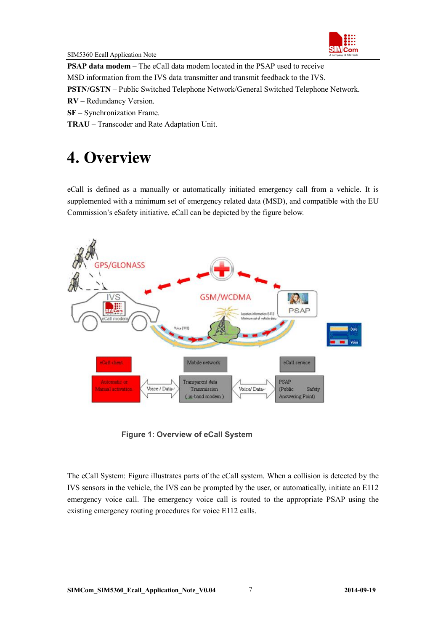

**PSAP data modem** – The eCall data modem located in the PSAP used to receive MSD information from the IVS data transmitter and transmit feedback to the IVS. **PSTN/GSTN** – Public Switched Telephone Network/General Switched Telephone Network.

**RV** – Redundancy Version.

**SF** – Synchronization Frame.

**TRAU** – Transcoder and Rate Adaptation Unit.

## **4. Overview**

eCall is defined as a manually or automatically initiated emergency call from a vehicle. It is supplemented with a minimum set of emergency related data (MSD), and compatible with the EU Commission's eSafety initiative. eCall can be depicted by the figure below.



**Figure 1: Overview of eCall System**

The eCall System: Figure illustrates parts of the eCall system. When a collision is detected by the IVS sensors in the vehicle, the IVS can be prompted by the user, or automatically, initiate an E112 emergency voice call. The emergency voice call is routed to the appropriate PSAP using the existing emergency routing procedures for voice E112 calls.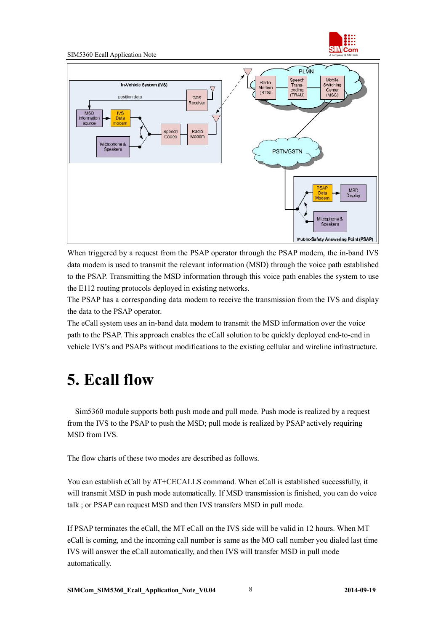

#### SIM5360 Ecall Application Note



When triggered by a request from the PSAP operator through the PSAP modem, the in-band IVS data modem is used to transmit the relevant information (MSD) through the voice path established to the PSAP. Transmitting the MSD information through this voice path enables the system to use the E112 routing protocols deployed in existing networks.

The PSAP has a corresponding data modem to receive the transmission from the IVS and display the data to the PSAP operator.

The eCall system uses an in-band data modem to transmit the MSD information over the voice path to the PSAP. This approach enables the eCall solution to be quickly deployed end-to-end in vehicle IVS's and PSAPs without modifications to the existing cellular and wireline infrastructure.

## **5. Ecall flow**

Sim5360 module supports both push mode and pull mode. Push mode is realized by a request from the IVS to the PSAP to push the MSD; pull mode is realized by PSAP actively requiring MSD from IVS.

The flow charts of these two modes are described as follows.

You can establish eCall by AT+CECALLS command. When eCall is established successfully, it will transmit MSD in push mode automatically. If MSD transmission is finished, you can do voice talk ; or PSAP can request MSD and then IVS transfers MSD in pull mode.

If PSAP terminates the eCall, the MT eCall on the IVS side will be valid in 12 hours. When MT eCall is coming, and the incoming call number is same as the MO call number you dialed last time IVS will answer the eCall automatically, and then IVS will transfer MSD in pull mode automatically.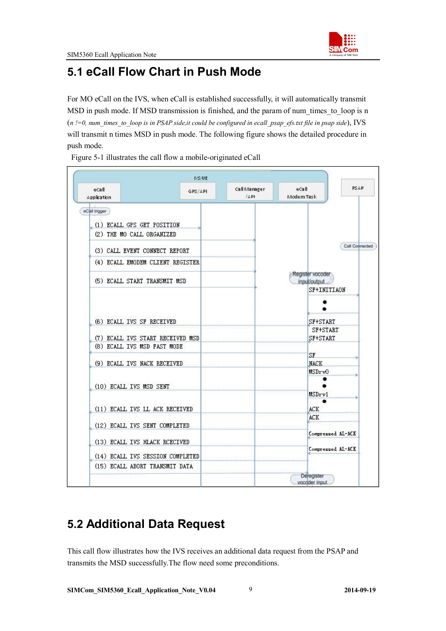

### **5.1 eCall Flow Chart in Push Mode**

For MO eCall on the IVS, when eCall is established successfully, it will automatically transmit MSD in push mode. If MSD transmission is finished, and the param of num times to loop is n (*n !=0, num\_times\_to\_loop is in PSAP side,it could be configured in ecall\_psap\_efs.txt file in psap side*), IVS will transmit n times MSD in push mode. The following figure shows the detailed procedure in push mode.

Figure 5-1 illustrates the call flow a mobile-originated eCall



### **5.2 Additional Data Request**

This call flow illustrates how the IVS receives an additional data request from the PSAP and transmits the MSD successfully.The flow need some preconditions.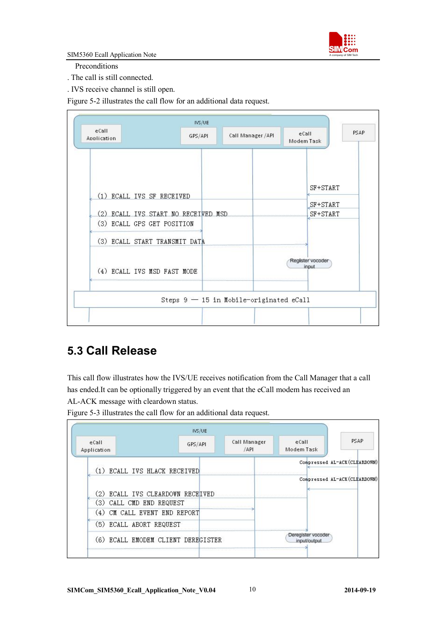

SIM5360 Ecall Application Note

Preconditions

. The call is still connected.

. IVS receive channel is still open.

Figure 5-2 illustrates the call flow for an additional data request.

| eCall<br>Application                | GPS/API                                   | Call Manager / API | $e$ Call<br>Modem Task | <b>PSAP</b>               |
|-------------------------------------|-------------------------------------------|--------------------|------------------------|---------------------------|
| (1) ECALL IVS SF RECEIVED           |                                           |                    |                        | SF+START                  |
| (2) ECALL IVS START NO RECEIVED MSD |                                           |                    |                        | SF+START<br>SF+START      |
| (3) ECALL GPS GET POSITION          |                                           |                    |                        |                           |
| (3) ECALL START TRANSMIT DATA       |                                           |                    |                        |                           |
| (4) ECALL IVS MSD FAST MODE         |                                           |                    |                        | Register vocoder<br>input |
|                                     | Steps $9 - 15$ in Mobile-originated eCall |                    |                        |                           |

### **5.3 Call Release**

This call flow illustrates how the IVS/UE receives notification from the Call Manager that a call has ended.It can be optionally triggered by an event that the eCall modem has received an AL-ACK message with cleardown status.

Figure 5-3 illustrates the call flow for an additional data request.

|                                    |         | Call Manager | eCall      | <b>PSAP</b>                   |
|------------------------------------|---------|--------------|------------|-------------------------------|
| eCall<br>Application               | GPS/API | /API         | Modem Task |                               |
| ECALL IVS HLACK RECEIVED           |         |              |            | Compressed AL-ACK (CLEARDOWN) |
|                                    |         |              |            | Compressed AL-ACK (CLEARDOWN) |
| (2) ECALL IVS CLEARDOWN RECEIVED   |         |              |            |                               |
| CALL CMD END REQUEST<br>(3)        |         |              |            |                               |
| (4) CM CALL EVENT END REPORT       |         |              |            |                               |
| (5) ECALL ABORT REQUEST            |         |              |            |                               |
| (6) ECALL EMODEM CLIENT DEREGISTER |         |              |            |                               |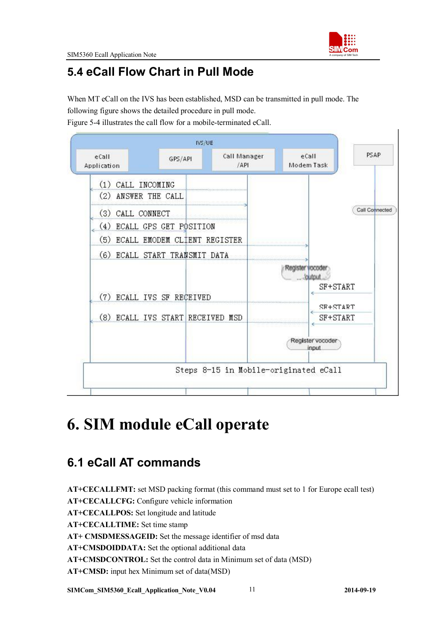

### **5.4 eCall Flow Chart in Pull Mode**

When MT eCall on the IVS has been established, MSD can be transmitted in pull mode. The following figure shows the detailed procedure in pull mode.

Figure 5-4 illustrates the call flow for a mobile-terminated eCall.



## **6. SIM module eCall operate**

### **6.1 eCall AT commands**

**AT+CECALLFMT:** set MSD packing format (this command must set to 1 for Europe ecall test) **AT+CECALLCFG:** Configure vehicle information **AT+CECALLPOS:** Set longitude and latitude **AT+CECALLTIME:** Set time stamp **AT+ CMSDMESSAGEID:** Set the message identifier of msd data **AT+CMSDOIDDATA:** Set the optional additional data **AT+CMSDCONTROL:** Set the control data in Minimum set of data (MSD) **AT+CMSD:** input hex Minimum set of data(MSD)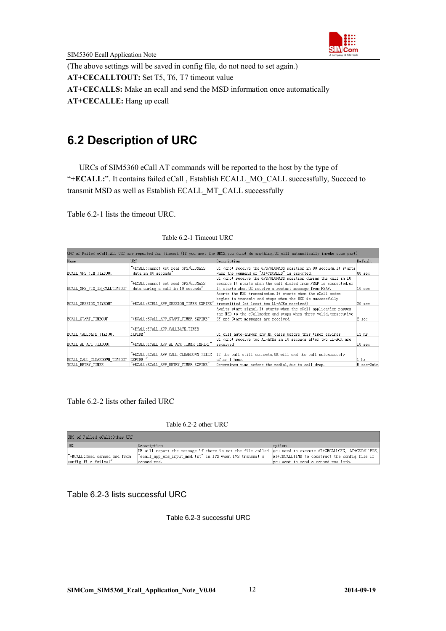

(The above settings will be saved in config file, do not need to set again.)

**AT+CECALLTOUT:** Set T5, T6, T7 timeout value

**AT+CECALLS:** Make an ecall and send the MSD information once automatically

**AT+CECALLE:** Hang up ecall

### **6.2 Description of URC**

URCs of SIM5360 eCall AT commands will be reported to the host by the type of "+ECALL:". It contains failed eCall, Establish ECALL\_MO\_CALL successfully, Succeed to transmit MSD as well as Establish ECALL\_MT\_CALL successfully

Table 6.2-1 lists the timeout URC.

| Name                                | <b>URC</b>                              | Description                                                        | Default           |
|-------------------------------------|-----------------------------------------|--------------------------------------------------------------------|-------------------|
|                                     | "+ECALL:cannot get real GPS/GLONASS     | UE donot receive the GPS/GLONASS position in 80 seconds. It starts |                   |
| <b>ECALL GPS FIX TIMEOUT</b>        | data in 80 seconds"                     | when the command of "AT+CECALLS" is executed.                      | 80 <sub>sec</sub> |
|                                     |                                         | UE donot receive the GPS/GLONASS position during the call in 10    |                   |
|                                     | "+ECALL:cannot get real GPS/GLONASS     | seconds. It starts when the call dialed from PSAP is connected or  |                   |
| <b>ECALL GPS FIX IN CALLTIMEOUT</b> | data during a call in 10 seconds"       | It starts when UE receive a restart message from PSAP.             | 10 <sub>sec</sub> |
|                                     |                                         | Aborts the MSD transmission. It starts when the eCall modem        |                   |
|                                     |                                         | begins to transmit and stops when the MSD is successfully          |                   |
| <b>ECALL SESSION TIMEOUT</b>        | "+ECALL:ECELL APP SESSION TIMER EXPIRE" | transmitted (at least two LL-ACKs received)                        | $20 \,$ sec       |
|                                     |                                         | Awaits start signal.It starts when the eCall application passes    |                   |
|                                     |                                         | the MSD to the eCallmodem and stops when three valid, consecutive  |                   |
| <b>ECALL START TIMEOUT</b>          | "+ECALL:ECALL APP START TIMER EXPIRE"   | SF and Start messages are received.                                | $2 \sec$          |
|                                     |                                         |                                                                    |                   |
|                                     | "+ECALL:ECALL APP CALLBACK TIMER        |                                                                    |                   |
| <b>ECALL CALLBACK TIMEOUT</b>       | EXPIRE"                                 | UE will auto-answer any MT calls before this timer expires.        | 12 <sub>hr</sub>  |
|                                     |                                         | UE donot receive two AL-ACKs in 10 seconds after two LL-ACK are    |                   |
| <b>ECALL AL ACK TIMEOUT</b>         | "+ECALL:ECALL APP AL ACK TIMER EXPIRE"  | received                                                           | $10 \text{ sec}$  |
|                                     |                                         |                                                                    |                   |
|                                     | "+ECALL:ECALL APP CALL CLEARDOWN TIMER  | If the call still connects, UE will end the call autonomously      |                   |
| ECALL CALL CLEARDOWN TIMEOUT        | EXPIRE "                                | after 1 hour.                                                      | 1 <sub>hr</sub>   |
| TCALL RETRY TIMER                   | "+ECALL:ECALL APP RETRY TIMER EXPIRE"   | Determines time before the redial, due to call drop.               | 5 sec-3min        |

#### Table 6.2-1 Timeout URC

#### Table 6.2-2 lists other failed URC

#### Table 6.2-2 other URC

| URC of Failed eCall:Other URC |                                                                                                                           |                                     |
|-------------------------------|---------------------------------------------------------------------------------------------------------------------------|-------------------------------------|
| <b>URC</b>                    | Description                                                                                                               | option                              |
|                               | UE will report the message if there is not the file called  vou need to execute AT+CECALLCFG. AT+CECALLPOS.               |                                     |
| "+ECALL:Read canned msd from  | $\degree$ ecall app efs input msd.txt" in IVS when IVS transmit a $\degree$ AT+CECALLTIME to construct the config file If |                                     |
| config file failed!"          | canned msd.                                                                                                               | you want to send a canned msd info. |

#### Table 6.2-3 lists successful URC

Table 6.2-3 successful URC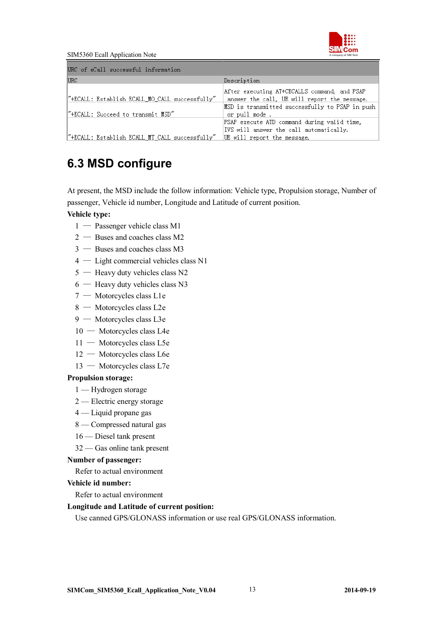

SIM5360 Ecall Application Note

| URC of eCall successful information            |                                                                                                                       |
|------------------------------------------------|-----------------------------------------------------------------------------------------------------------------------|
| <b>URC</b>                                     | Description                                                                                                           |
| "+ECALL: Establish ECALL_MO_CALL successfully" | After executing AT+CECALLS command, and PSAP<br>answer the call, UE will report the message.                          |
| "+ECALL: Succeed to transmit MSD"              | MSD is transmitted successfully to PSAP in push<br>or pull mode.                                                      |
| "+ECALL: Establish ECALL_MT_CALL successfully" | PSAP execute ATD command during valid time,<br>IVS will answer the call automatically.<br>UE will report the message. |

### **6.3 MSD configure**

At present, the MSD include the follow information: Vehicle type, Propulsion storage, Number of passenger, Vehicle id number, Longitude and Latitude of current position.

#### **Vehicle type:**

- 1 Passenger vehicle class M1
- $2 -$ Buses and coaches class M2
- 3 Buses and coaches class M3
- 4 Light commercial vehicles class N1
- 5 Heavy duty vehicles class N2
- $6$  Heavy duty vehicles class N3
- 7 Motorcycles class L1e
- 8 Motorcycles class L2e
- 9 Motorcycles class L3e
- 10 Motorcycles class L4e
- 11 Motorcycles class L5e
- 12 Motorcycles class L6e
- 13 Motorcycles class L7e

#### **Propulsion storage:**

- 1 Hydrogen storage
- 2 Electric energy storage
- 4 Liquid propane gas
- 8 Compressed natural gas
- 16 Diesel tank present
- 32 Gas online tank present

#### **Number of passenger:**

Refer to actual environment

#### **Vehicle id number:**

Refer to actual environment

#### **Longitude and Latitude of current position:**

Use canned GPS/GLONASS information or use real GPS/GLONASS information.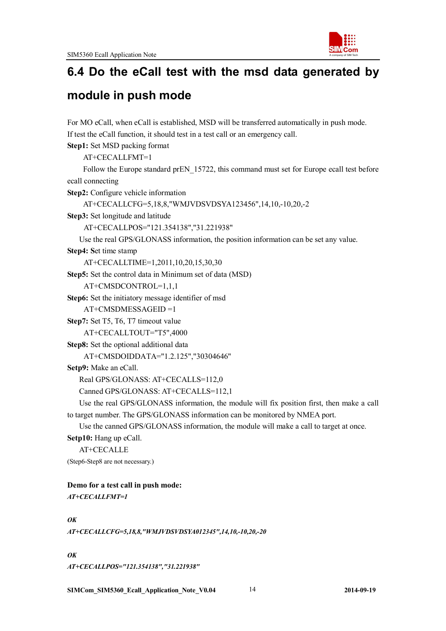

### **6.4 Do the eCall test with the msd data generated by**

### **module in push mode**

For MO eCall, when eCall is established, MSD will be transferred automatically in push mode. If test the eCall function, it should test in a test call or an emergency call. **Step1:** Set MSD packing format

AT+CECALLFMT=1

Follow the Europe standard prEN\_15722, this command must set for Europe ecall test before ecall connecting

**Step2:** Configure vehicle information

AT+CECALLCFG=5,18,8,"WMJVDSVDSYA123456",14,10,-10,20,-2

**Step3:** Set longitude and latitude

AT+CECALLPOS="121.354138","31.221938"

Use the real GPS/GLONASS information, the position information can be set any value.

**Step4: S**et time stamp

AT+CECALLTIME=1,2011,10,20,15,30,30

**Step5:** Set the control data in Minimum set of data (MSD)

```
AT+CMSDCONTROL=1,1,1
```
**Step6:** Set the initiatory message identifier of msd

AT+CMSDMESSAGEID =1

**Step7:** Set T5, T6, T7 timeout value

AT+CECALLTOUT="T5",4000

**Step8:** Set the optional additional data

AT+CMSDOIDDATA="1.2.125","30304646"

**Setp9:** Make an eCall.

Real GPS/GLONASS: AT+CECALLS=112,0

Canned GPS/GLONASS: AT+CECALLS=112,1

Use the real GPS/GLONASS information, the module will fix position first, then make a call to target number. The GPS/GLONASS information can be monitored by NMEA port.

Use the canned GPS/GLONASS information, the module will make a call to target at once.

Setp10: Hang up eCall.

```
AT+CECALLE
```
(Step6-Step8 are not necessary.)

#### **Demo for a test call in push mode:** *AT+CECALLFMT=1*

*OK*

*AT+CECALLCFG=5,18,8,"WMJVDSVDSYA012345",14,10,-10,20,-20*

*OK AT+CECALLPOS="121.354138","31.221938"*

**SIMCom\_SIM5360\_Ecall\_Application\_Note\_V0.04** 14 **2014-09-19**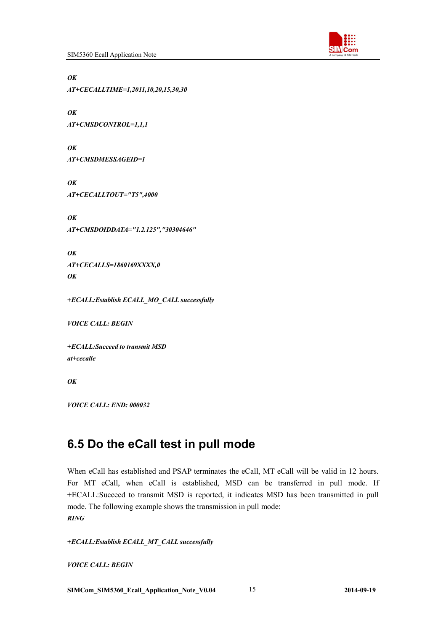

*OK*

*AT+CECALLTIME=1,2011,10,20,15,30,30*

*OK AT+CMSDCONTROL=1,1,1*

*OK AT+CMSDMESSAGEID=1*

*OK AT+CECALLTOUT="T5",4000*

*OK AT+CMSDOIDDATA="1.2.125","30304646"*

*OK AT+CECALLS=1860169XXXX,0 OK*

*+ECALL:Establish ECALL\_MO\_CALL successfully* 

*VOICE CALL: BEGIN*

*+ECALL:Succeed to transmit MSD at+cecalle*

*OK*

*VOICE CALL: END: 000032*

### **6.5 Do the eCall test in pull mode**

When eCall has established and PSAP terminates the eCall, MT eCall will be valid in 12 hours. For MT eCall, when eCall is established, MSD can be transferred in pull mode. If +ECALL:Succeed to transmit MSD is reported, it indicates MSD has been transmitted in pull mode. The following example shows the transmission in pull mode: *RING*

*+ECALL:Establish ECALL\_MT\_CALL successfully* 

*VOICE CALL: BEGIN*

**SIMCom\_SIM5360\_Ecall\_Application\_Note\_V0.04** 15 **2014-09-19**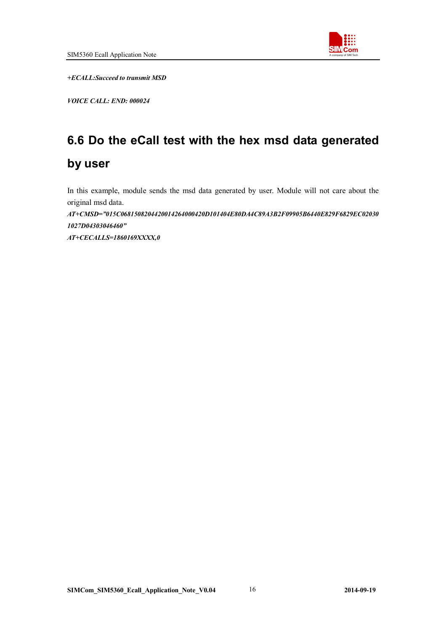

*+ECALL:Succeed to transmit MSD*

*VOICE CALL: END: 000024*

## **6.6 Do the eCall test with the hex msd data generated by user**

In this example, module sends the msd data generated by user. Module will not care about the original msd data.

*AT+CMSD="015C0681508204420014264000420D101404E80DA4C89A3B2F09905B6440E829F6829EC02030 1027D04303046460"* 

*AT+CECALLS=1860169XXXX,0*